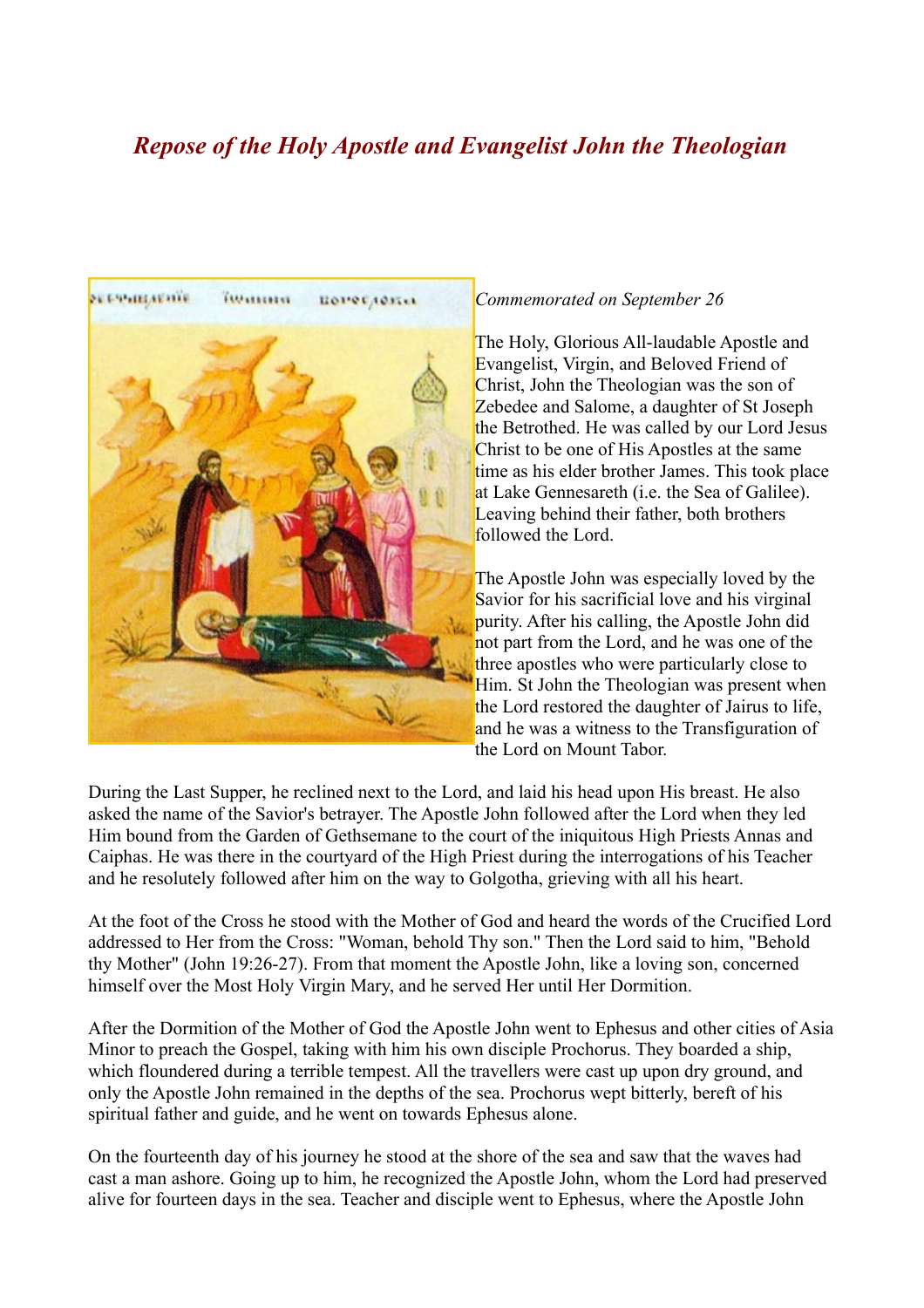## *Repose of the Holy Apostle and Evangelist John the Theologian*



## *Commemorated on September 26*

The Holy, Glorious All-laudable Apostle and Evangelist, Virgin, and Beloved Friend of Christ, John the Theologian was the son of Zebedee and Salome, a daughter of St Joseph the Betrothed. He was called by our Lord Jesus Christ to be one of His Apostles at the same time as his elder brother James. This took place at Lake Gennesareth (i.e. the Sea of Galilee). Leaving behind their father, both brothers followed the Lord.

The Apostle John was especially loved by the Savior for his sacrificial love and his virginal purity. After his calling, the Apostle John did not part from the Lord, and he was one of the three apostles who were particularly close to Him. St John the Theologian was present when the Lord restored the daughter of Jairus to life, and he was a witness to the Transfiguration of the Lord on Mount Tabor.

During the Last Supper, he reclined next to the Lord, and laid his head upon His breast. He also asked the name of the Savior's betrayer. The Apostle John followed after the Lord when they led Him bound from the Garden of Gethsemane to the court of the iniquitous High Priests Annas and Caiphas. He was there in the courtyard of the High Priest during the interrogations of his Teacher and he resolutely followed after him on the way to Golgotha, grieving with all his heart.

At the foot of the Cross he stood with the Mother of God and heard the words of the Crucified Lord addressed to Her from the Cross: "Woman, behold Thy son." Then the Lord said to him, "Behold thy Mother" (John 19:26-27). From that moment the Apostle John, like a loving son, concerned himself over the Most Holy Virgin Mary, and he served Her until Her Dormition.

After the Dormition of the Mother of God the Apostle John went to Ephesus and other cities of Asia Minor to preach the Gospel, taking with him his own disciple Prochorus. They boarded a ship, which floundered during a terrible tempest. All the travellers were cast up upon dry ground, and only the Apostle John remained in the depths of the sea. Prochorus wept bitterly, bereft of his spiritual father and guide, and he went on towards Ephesus alone.

On the fourteenth day of his journey he stood at the shore of the sea and saw that the waves had cast a man ashore. Going up to him, he recognized the Apostle John, whom the Lord had preserved alive for fourteen days in the sea. Teacher and disciple went to Ephesus, where the Apostle John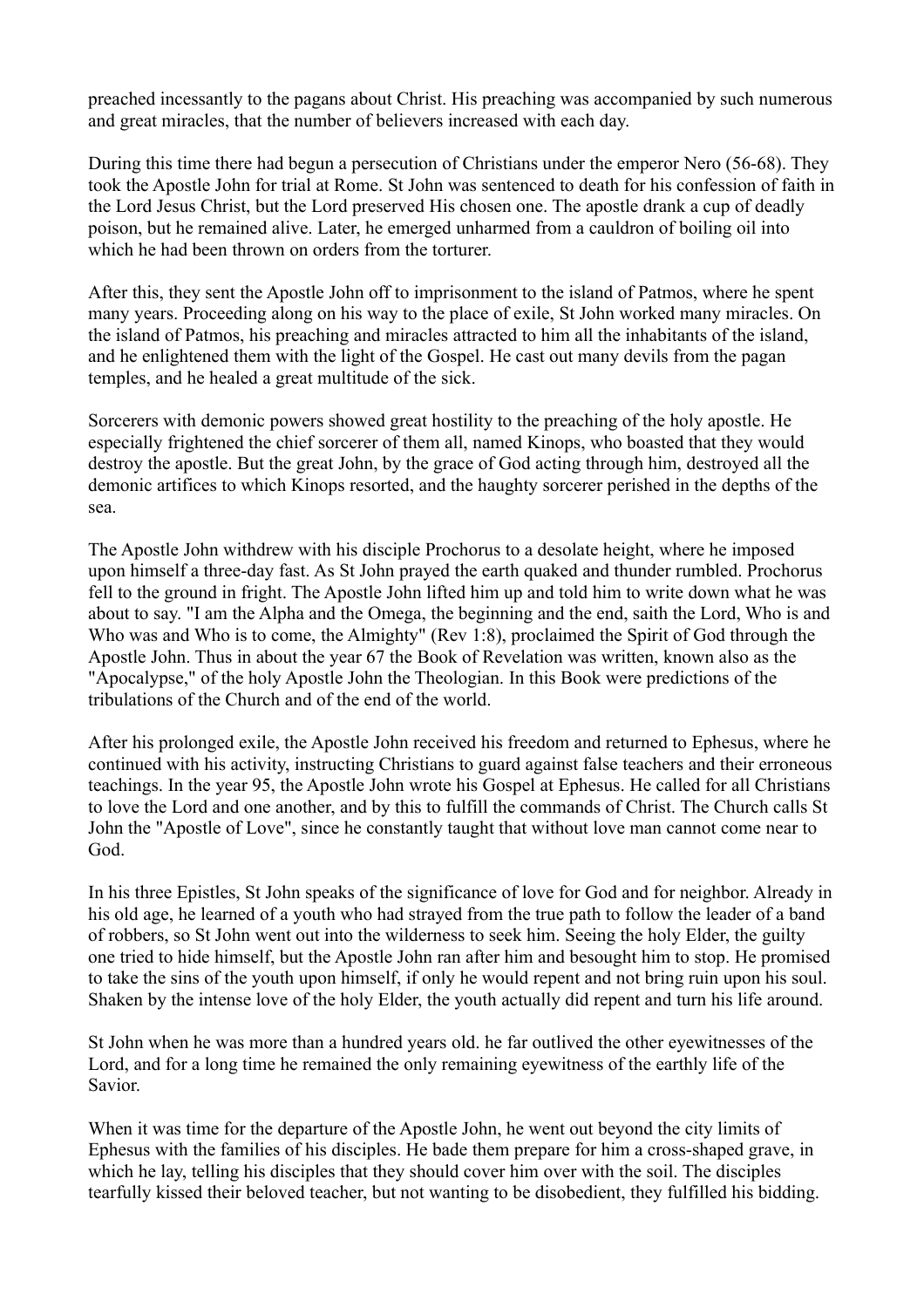preached incessantly to the pagans about Christ. His preaching was accompanied by such numerous and great miracles, that the number of believers increased with each day.

During this time there had begun a persecution of Christians under the emperor Nero (56-68). They took the Apostle John for trial at Rome. St John was sentenced to death for his confession of faith in the Lord Jesus Christ, but the Lord preserved His chosen one. The apostle drank a cup of deadly poison, but he remained alive. Later, he emerged unharmed from a cauldron of boiling oil into which he had been thrown on orders from the torturer.

After this, they sent the Apostle John off to imprisonment to the island of Patmos, where he spent many years. Proceeding along on his way to the place of exile, St John worked many miracles. On the island of Patmos, his preaching and miracles attracted to him all the inhabitants of the island, and he enlightened them with the light of the Gospel. He cast out many devils from the pagan temples, and he healed a great multitude of the sick.

Sorcerers with demonic powers showed great hostility to the preaching of the holy apostle. He especially frightened the chief sorcerer of them all, named Kinops, who boasted that they would destroy the apostle. But the great John, by the grace of God acting through him, destroyed all the demonic artifices to which Kinops resorted, and the haughty sorcerer perished in the depths of the sea.

The Apostle John withdrew with his disciple Prochorus to a desolate height, where he imposed upon himself a three-day fast. As St John prayed the earth quaked and thunder rumbled. Prochorus fell to the ground in fright. The Apostle John lifted him up and told him to write down what he was about to say. "I am the Alpha and the Omega, the beginning and the end, saith the Lord, Who is and Who was and Who is to come, the Almighty" (Rev 1:8), proclaimed the Spirit of God through the Apostle John. Thus in about the year 67 the Book of Revelation was written, known also as the "Apocalypse," of the holy Apostle John the Theologian. In this Book were predictions of the tribulations of the Church and of the end of the world.

After his prolonged exile, the Apostle John received his freedom and returned to Ephesus, where he continued with his activity, instructing Christians to guard against false teachers and their erroneous teachings. In the year 95, the Apostle John wrote his Gospel at Ephesus. He called for all Christians to love the Lord and one another, and by this to fulfill the commands of Christ. The Church calls St John the "Apostle of Love", since he constantly taught that without love man cannot come near to God.

In his three Epistles, St John speaks of the significance of love for God and for neighbor. Already in his old age, he learned of a youth who had strayed from the true path to follow the leader of a band of robbers, so St John went out into the wilderness to seek him. Seeing the holy Elder, the guilty one tried to hide himself, but the Apostle John ran after him and besought him to stop. He promised to take the sins of the youth upon himself, if only he would repent and not bring ruin upon his soul. Shaken by the intense love of the holy Elder, the youth actually did repent and turn his life around.

St John when he was more than a hundred years old. he far outlived the other eyewitnesses of the Lord, and for a long time he remained the only remaining eyewitness of the earthly life of the Savior.

When it was time for the departure of the Apostle John, he went out beyond the city limits of Ephesus with the families of his disciples. He bade them prepare for him a cross-shaped grave, in which he lay, telling his disciples that they should cover him over with the soil. The disciples tearfully kissed their beloved teacher, but not wanting to be disobedient, they fulfilled his bidding.